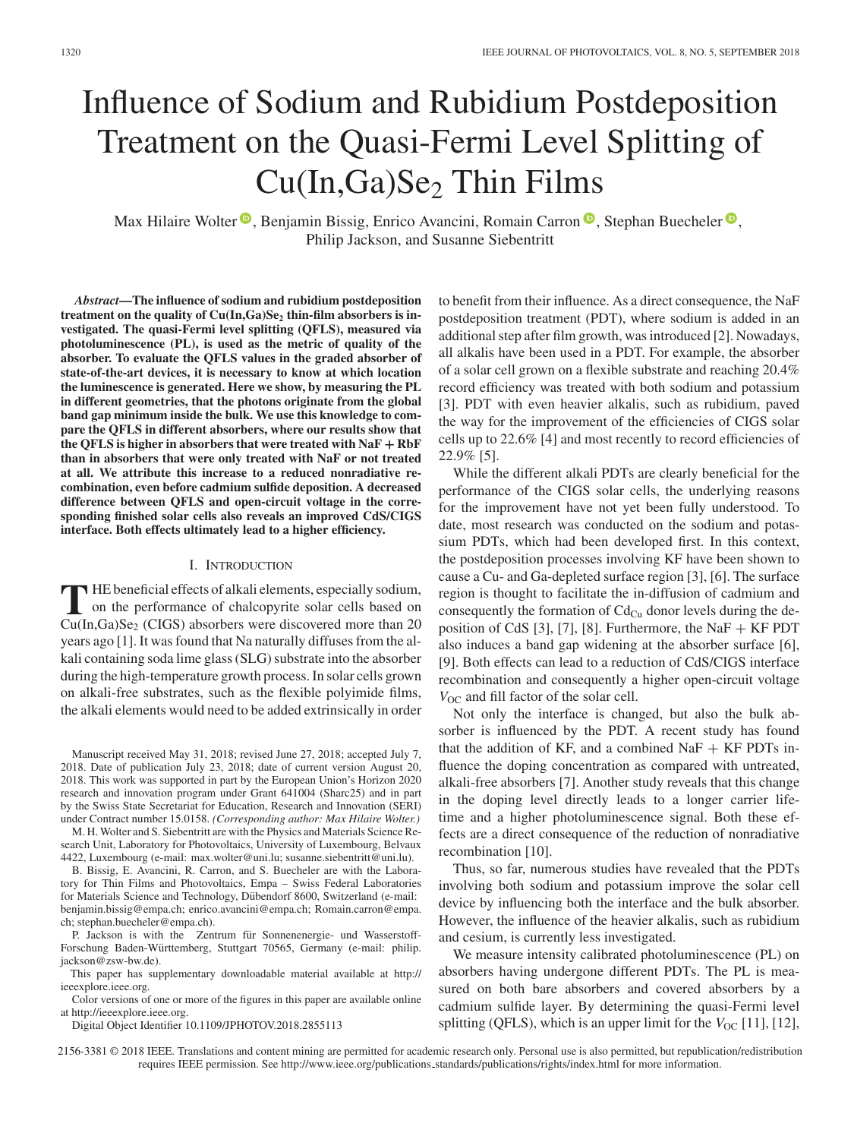# Influence of Sodium and Rubidium Postdeposition Treatment on the Quasi-Fermi Level Splitting of  $Cu(In,Ga)Se<sub>2</sub> Thin Films$

Max Hilaire Wolter **•**[,](https://orcid.org/0000-0003-0942-9965) Benjamin Bissig, Enrico Avancini, Romain Carron •, Stephan Buecheler •, Philip Jackson, and Susanne Siebentritt

*Abstract***—The influence of sodium and rubidium postdeposition** treatment on the quality of Cu(In,Ga)Se<sub>2</sub> thin-film absorbers is in**vestigated. The quasi-Fermi level splitting (QFLS), measured via photoluminescence (PL), is used as the metric of quality of the absorber. To evaluate the QFLS values in the graded absorber of state-of-the-art devices, it is necessary to know at which location the luminescence is generated. Here we show, by measuring the PL in different geometries, that the photons originate from the global band gap minimum inside the bulk. We use this knowledge to compare the QFLS in different absorbers, where our results show that the QFLS is higher in absorbers that were treated with NaF + RbF than in absorbers that were only treated with NaF or not treated at all. We attribute this increase to a reduced nonradiative recombination, even before cadmium sulfide deposition. A decreased difference between QFLS and open-circuit voltage in the corresponding finished solar cells also reveals an improved CdS/CIGS interface. Both effects ultimately lead to a higher efficiency.**

### I. INTRODUCTION

**T** HE beneficial effects of alkali elements, especially sodium,<br>on the performance of chalcopyrite solar cells based on<br>Cu(In Go)Se. (CIGS) shorthers were discovered more than 20  $Cu(In,Ga)Se<sub>2</sub> (CIGS)$  absorbers were discovered more than 20 years ago [1]. It was found that Na naturally diffuses from the alkali containing soda lime glass (SLG) substrate into the absorber during the high-temperature growth process. In solar cells grown on alkali-free substrates, such as the flexible polyimide films, the alkali elements would need to be added extrinsically in order

Manuscript received May 31, 2018; revised June 27, 2018; accepted July 7, 2018. Date of publication July 23, 2018; date of current version August 20, 2018. This work was supported in part by the European Union's Horizon 2020 research and innovation program under Grant 641004 (Sharc25) and in part by the Swiss State Secretariat for Education, Research and Innovation (SERI) under Contract number 15.0158. *(Corresponding author: Max Hilaire Wolter.)*

M. H. Wolter and S. Siebentritt are with the Physics and Materials Science Research Unit, Laboratory for Photovoltaics, University of Luxembourg, Belvaux 4422, Luxembourg (e-mail: max.wolter@uni.lu; [susanne.siebentritt@uni.lu\)](mailto:susanne.siebentritt@uni.lu).

B. Bissig, E. Avancini, R. Carron, and S. Buecheler are with the Laboratory for Thin Films and Photovoltaics, Empa – Swiss Federal Laboratories for Materials Science and Technology[,](mailto:global advance reakcnt @ne penalty -@M benjamin.bissig@empa.ch) Dübendorf 8600, Switzerland (e-mail: [benjamin.bissig@empa.ch;](mailto:global advance reakcnt @ne penalty -@M benjamin.bissig@empa.ch) [enrico.avancini@empa.ch;](mailto:enrico.avancini@empa.ch) [Romain.carron@empa.](mailto:Romain.carron@empa.global advance reakcnt @ne penalty -@M ch) [ch;](mailto:Romain.carron@empa.global advance reakcnt @ne penalty -@M ch) [stephan.buecheler@empa.ch\)](mailto:stephan.buecheler@empa.ch).

P. Jackson is with the Zentrum für Sonnenenergie- und WasserstoffForschung Baden-Württemberg, Stuttgart 70565, Germany (e-mail: [philip.](mailto:philip.global advance reakcnt @ne penalty -@M jackson@zsw-bw.de) [jackson@zsw-bw.de\)](mailto:philip.global advance reakcnt @ne penalty -@M jackson@zsw-bw.de).

This paper has supplementary downloadable material available at http:// ieeexplore.ieee.org.

Color versions of one or more of the figures in this paper are available online at http://ieeexplore.ieee.org.

Digital Object Identifier 10.1109/JPHOTOV.2018.2855113

to benefit from their influence. As a direct consequence, the NaF postdeposition treatment (PDT), where sodium is added in an additional step after film growth, was introduced [2]. Nowadays, all alkalis have been used in a PDT. For example, the absorber of a solar cell grown on a flexible substrate and reaching 20.4% record efficiency was treated with both sodium and potassium [3]. PDT with even heavier alkalis, such as rubidium, paved the way for the improvement of the efficiencies of CIGS solar cells up to 22.6% [4] and most recently to record efficiencies of 22.9% [5].

While the different alkali PDTs are clearly beneficial for the performance of the CIGS solar cells, the underlying reasons for the improvement have not yet been fully understood. To date, most research was conducted on the sodium and potassium PDTs, which had been developed first. In this context, the postdeposition processes involving KF have been shown to cause a Cu- and Ga-depleted surface region [3], [6]. The surface region is thought to facilitate the in-diffusion of cadmium and consequently the formation of  $Cd_{Cu}$  donor levels during the deposition of CdS [3], [7], [8]. Furthermore, the NaF  $+$  KF PDT also induces a band gap widening at the absorber surface [6], [9]. Both effects can lead to a reduction of CdS/CIGS interface recombination and consequently a higher open-circuit voltage *V*<sub>OC</sub> and fill factor of the solar cell.

Not only the interface is changed, but also the bulk absorber is influenced by the PDT. A recent study has found that the addition of KF, and a combined NaF  $+$  KF PDTs influence the doping concentration as compared with untreated, alkali-free absorbers [7]. Another study reveals that this change in the doping level directly leads to a longer carrier lifetime and a higher photoluminescence signal. Both these effects are a direct consequence of the reduction of nonradiative recombination [10].

Thus, so far, numerous studies have revealed that the PDTs involving both sodium and potassium improve the solar cell device by influencing both the interface and the bulk absorber. However, the influence of the heavier alkalis, such as rubidium and cesium, is currently less investigated.

We measure intensity calibrated photoluminescence (PL) on absorbers having undergone different PDTs. The PL is measured on both bare absorbers and covered absorbers by a cadmium sulfide layer. By determining the quasi-Fermi level splitting (QFLS), which is an upper limit for the  $V_{\text{OC}}$  [11], [12],

2156-3381 © 2018 IEEE. Translations and content mining are permitted for academic research only. Personal use is also permitted, but republication/redistribution requires IEEE permission. See http://www.ieee.org/publications standards/publications/rights/index.html for more information.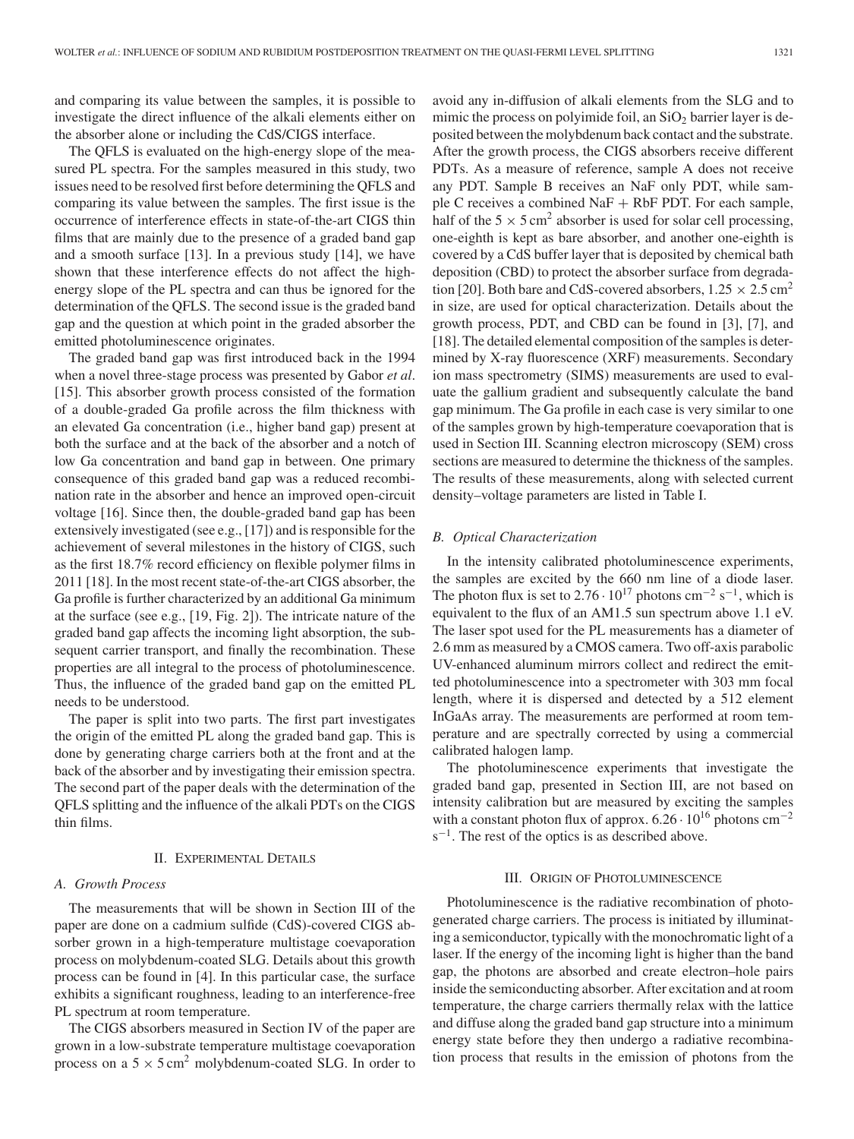and comparing its value between the samples, it is possible to investigate the direct influence of the alkali elements either on the absorber alone or including the CdS/CIGS interface.

The QFLS is evaluated on the high-energy slope of the measured PL spectra. For the samples measured in this study, two issues need to be resolved first before determining the QFLS and comparing its value between the samples. The first issue is the occurrence of interference effects in state-of-the-art CIGS thin films that are mainly due to the presence of a graded band gap and a smooth surface [13]. In a previous study [14], we have shown that these interference effects do not affect the highenergy slope of the PL spectra and can thus be ignored for the determination of the QFLS. The second issue is the graded band gap and the question at which point in the graded absorber the emitted photoluminescence originates.

The graded band gap was first introduced back in the 1994 when a novel three-stage process was presented by Gabor *et al*. [15]. This absorber growth process consisted of the formation of a double-graded Ga profile across the film thickness with an elevated Ga concentration (i.e., higher band gap) present at both the surface and at the back of the absorber and a notch of low Ga concentration and band gap in between. One primary consequence of this graded band gap was a reduced recombination rate in the absorber and hence an improved open-circuit voltage [16]. Since then, the double-graded band gap has been extensively investigated (see e.g., [17]) and is responsible for the achievement of several milestones in the history of CIGS, such as the first 18.7% record efficiency on flexible polymer films in 2011 [18]. In the most recent state-of-the-art CIGS absorber, the Ga profile is further characterized by an additional Ga minimum at the surface (see e.g., [19, Fig. 2]). The intricate nature of the graded band gap affects the incoming light absorption, the subsequent carrier transport, and finally the recombination. These properties are all integral to the process of photoluminescence. Thus, the influence of the graded band gap on the emitted PL needs to be understood.

The paper is split into two parts. The first part investigates the origin of the emitted PL along the graded band gap. This is done by generating charge carriers both at the front and at the back of the absorber and by investigating their emission spectra. The second part of the paper deals with the determination of the QFLS splitting and the influence of the alkali PDTs on the CIGS thin films.

## II. EXPERIMENTAL DETAILS

# *A. Growth Process*

The measurements that will be shown in Section III of the paper are done on a cadmium sulfide (CdS)-covered CIGS absorber grown in a high-temperature multistage coevaporation process on molybdenum-coated SLG. Details about this growth process can be found in [4]. In this particular case, the surface exhibits a significant roughness, leading to an interference-free PL spectrum at room temperature.

The CIGS absorbers measured in Section IV of the paper are grown in a low-substrate temperature multistage coevaporation process on a  $5 \times 5$  cm<sup>2</sup> molybdenum-coated SLG. In order to avoid any in-diffusion of alkali elements from the SLG and to mimic the process on polyimide foil, an  $SiO<sub>2</sub>$  barrier layer is deposited between the molybdenum back contact and the substrate. After the growth process, the CIGS absorbers receive different PDTs. As a measure of reference, sample A does not receive any PDT. Sample B receives an NaF only PDT, while sample C receives a combined NaF + RbF PDT. For each sample, half of the  $5 \times 5 \text{ cm}^2$  absorber is used for solar cell processing, one-eighth is kept as bare absorber, and another one-eighth is covered by a CdS buffer layer that is deposited by chemical bath deposition (CBD) to protect the absorber surface from degradation [20]. Both bare and CdS-covered absorbers,  $1.25 \times 2.5 \text{ cm}^2$ in size, are used for optical characterization. Details about the growth process, PDT, and CBD can be found in [3], [7], and [18]. The detailed elemental composition of the samples is deter-mined by X-ray fluorescence (XRF) measurements. Secondary ion mass spectrometry (SIMS) measurements are used to evaluate the gallium gradient and subsequently calculate the band gap minimum. The Ga profile in each case is very similar to one of the samples grown by high-temperature coevaporation that is used in Section III. Scanning electron microscopy (SEM) cross sections are measured to determine the thickness of the samples. The results of these measurements, along with selected current density–voltage parameters are listed in Table I.

# *B. Optical Characterization*

In the intensity calibrated photoluminescence experiments, the samples are excited by the 660 nm line of a diode laser. The photon flux is set to 2.76 ·  $10^{17}$  photons cm<sup>-2</sup> s<sup>-1</sup>, which is equivalent to the flux of an AM1.5 sun spectrum above 1.1 eV. The laser spot used for the PL measurements has a diameter of 2.6 mm as measured by a CMOS camera. Two off-axis parabolic UV-enhanced aluminum mirrors collect and redirect the emitted photoluminescence into a spectrometer with 303 mm focal length, where it is dispersed and detected by a 512 element InGaAs array. The measurements are performed at room temperature and are spectrally corrected by using a commercial calibrated halogen lamp.

The photoluminescence experiments that investigate the graded band gap, presented in Section III, are not based on intensity calibration but are measured by exciting the samples with a constant photon flux of approx.  $6.26 \cdot 10^{16}$  photons cm<sup>-2</sup>  $s^{-1}$ . The rest of the optics is as described above.

### III. ORIGIN OF PHOTOLUMINESCENCE

Photoluminescence is the radiative recombination of photogenerated charge carriers. The process is initiated by illuminating a semiconductor, typically with the monochromatic light of a laser. If the energy of the incoming light is higher than the band gap, the photons are absorbed and create electron–hole pairs inside the semiconducting absorber. After excitation and at room temperature, the charge carriers thermally relax with the lattice and diffuse along the graded band gap structure into a minimum energy state before they then undergo a radiative recombination process that results in the emission of photons from the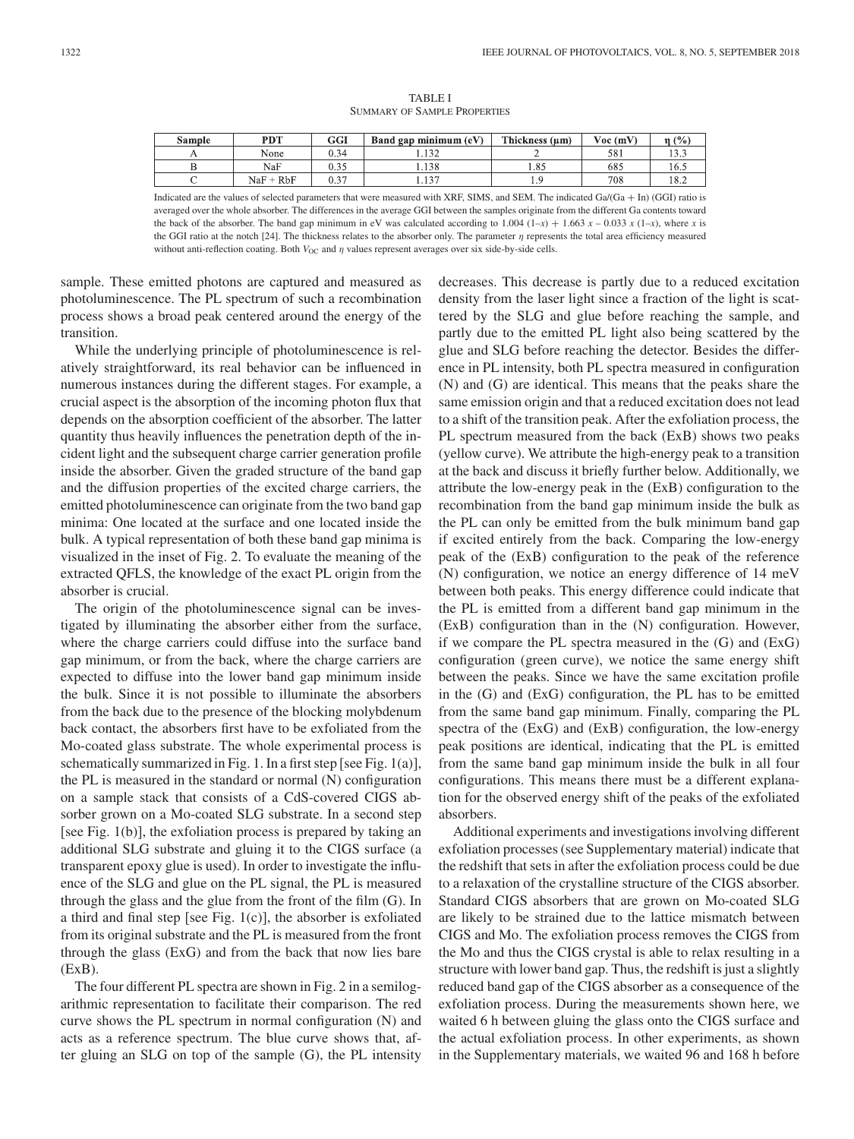| <b>TABLE I</b>                      |  |
|-------------------------------------|--|
| <b>SUMMARY OF SAMPLE PROPERTIES</b> |  |

|                                               | (%)   |
|-----------------------------------------------|-------|
| None<br>0.34<br>581<br>132                    | ن ريد |
| l.85<br>NaF<br>. 138<br>685<br>U.SC           | 16.5  |
| n 27<br>708<br>$NaF + RbF$<br>127<br>i.9<br>. | 18.2  |

Indicated are the values of selected parameters that were measured with XRF, SIMS, and SEM. The indicated Ga/(Ga + In) (GGI) ratio is averaged over the whole absorber. The differences in the average GGI between the samples originate from the different Ga contents toward the back of the absorber. The band gap minimum in eV was calculated according to 1.004  $(1-x) + 1.663 x - 0.033 x (1-x)$ , where *x* is the GGI ratio at the notch [24]. The thickness relates to the absorber only. The parameter η represents the total area efficiency measured without anti-reflection coating. Both  $V_{OC}$  and  $\eta$  values represent averages over six side-by-side cells.

sample. These emitted photons are captured and measured as photoluminescence. The PL spectrum of such a recombination process shows a broad peak centered around the energy of the transition.

While the underlying principle of photoluminescence is relatively straightforward, its real behavior can be influenced in numerous instances during the different stages. For example, a crucial aspect is the absorption of the incoming photon flux that depends on the absorption coefficient of the absorber. The latter quantity thus heavily influences the penetration depth of the incident light and the subsequent charge carrier generation profile inside the absorber. Given the graded structure of the band gap and the diffusion properties of the excited charge carriers, the emitted photoluminescence can originate from the two band gap minima: One located at the surface and one located inside the bulk. A typical representation of both these band gap minima is visualized in the inset of Fig. 2. To evaluate the meaning of the extracted QFLS, the knowledge of the exact PL origin from the absorber is crucial.

The origin of the photoluminescence signal can be investigated by illuminating the absorber either from the surface, where the charge carriers could diffuse into the surface band gap minimum, or from the back, where the charge carriers are expected to diffuse into the lower band gap minimum inside the bulk. Since it is not possible to illuminate the absorbers from the back due to the presence of the blocking molybdenum back contact, the absorbers first have to be exfoliated from the Mo-coated glass substrate. The whole experimental process is schematically summarized in Fig. 1. In a first step [see Fig. 1(a)], the PL is measured in the standard or normal (N) configuration on a sample stack that consists of a CdS-covered CIGS absorber grown on a Mo-coated SLG substrate. In a second step [see Fig. 1(b)], the exfoliation process is prepared by taking an additional SLG substrate and gluing it to the CIGS surface (a transparent epoxy glue is used). In order to investigate the influence of the SLG and glue on the PL signal, the PL is measured through the glass and the glue from the front of the film (G). In a third and final step [see Fig. 1(c)], the absorber is exfoliated from its original substrate and the PL is measured from the front through the glass (ExG) and from the back that now lies bare  $(EXB)$ .

The four different PL spectra are shown in Fig. 2 in a semilogarithmic representation to facilitate their comparison. The red curve shows the PL spectrum in normal configuration (N) and acts as a reference spectrum. The blue curve shows that, after gluing an SLG on top of the sample (G), the PL intensity decreases. This decrease is partly due to a reduced excitation density from the laser light since a fraction of the light is scattered by the SLG and glue before reaching the sample, and partly due to the emitted PL light also being scattered by the glue and SLG before reaching the detector. Besides the difference in PL intensity, both PL spectra measured in configuration (N) and (G) are identical. This means that the peaks share the same emission origin and that a reduced excitation does not lead to a shift of the transition peak. After the exfoliation process, the PL spectrum measured from the back (ExB) shows two peaks (yellow curve). We attribute the high-energy peak to a transition at the back and discuss it briefly further below. Additionally, we attribute the low-energy peak in the (ExB) configuration to the recombination from the band gap minimum inside the bulk as the PL can only be emitted from the bulk minimum band gap if excited entirely from the back. Comparing the low-energy peak of the (ExB) configuration to the peak of the reference (N) configuration, we notice an energy difference of 14 meV between both peaks. This energy difference could indicate that the PL is emitted from a different band gap minimum in the (ExB) configuration than in the (N) configuration. However, if we compare the PL spectra measured in the (G) and (ExG) configuration (green curve), we notice the same energy shift between the peaks. Since we have the same excitation profile in the (G) and (ExG) configuration, the PL has to be emitted from the same band gap minimum. Finally, comparing the PL spectra of the (ExG) and (ExB) configuration, the low-energy peak positions are identical, indicating that the PL is emitted from the same band gap minimum inside the bulk in all four configurations. This means there must be a different explanation for the observed energy shift of the peaks of the exfoliated absorbers.

Additional experiments and investigations involving different exfoliation processes (see Supplementary material) indicate that the redshift that sets in after the exfoliation process could be due to a relaxation of the crystalline structure of the CIGS absorber. Standard CIGS absorbers that are grown on Mo-coated SLG are likely to be strained due to the lattice mismatch between CIGS and Mo. The exfoliation process removes the CIGS from the Mo and thus the CIGS crystal is able to relax resulting in a structure with lower band gap. Thus, the redshift is just a slightly reduced band gap of the CIGS absorber as a consequence of the exfoliation process. During the measurements shown here, we waited 6 h between gluing the glass onto the CIGS surface and the actual exfoliation process. In other experiments, as shown in the Supplementary materials, we waited 96 and 168 h before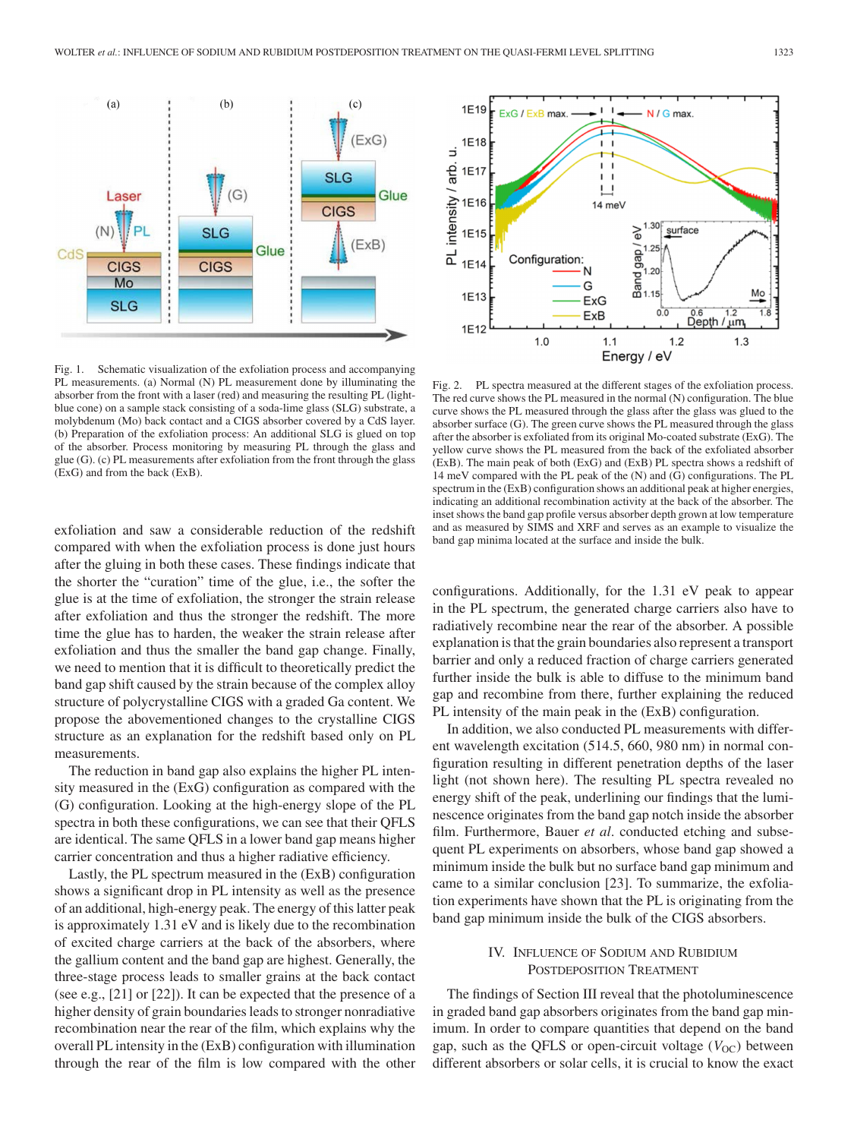

Fig. 1. Schematic visualization of the exfoliation process and accompanying PL measurements. (a) Normal (N) PL measurement done by illuminating the absorber from the front with a laser (red) and measuring the resulting PL (lightblue cone) on a sample stack consisting of a soda-lime glass (SLG) substrate, a molybdenum (Mo) back contact and a CIGS absorber covered by a CdS layer. (b) Preparation of the exfoliation process: An additional SLG is glued on top of the absorber. Process monitoring by measuring PL through the glass and glue (G). (c) PL measurements after exfoliation from the front through the glass (ExG) and from the back (ExB).

exfoliation and saw a considerable reduction of the redshift compared with when the exfoliation process is done just hours after the gluing in both these cases. These findings indicate that the shorter the "curation" time of the glue, i.e., the softer the glue is at the time of exfoliation, the stronger the strain release after exfoliation and thus the stronger the redshift. The more time the glue has to harden, the weaker the strain release after exfoliation and thus the smaller the band gap change. Finally, we need to mention that it is difficult to theoretically predict the band gap shift caused by the strain because of the complex alloy structure of polycrystalline CIGS with a graded Ga content. We propose the abovementioned changes to the crystalline CIGS structure as an explanation for the redshift based only on PL measurements.

The reduction in band gap also explains the higher PL intensity measured in the (ExG) configuration as compared with the (G) configuration. Looking at the high-energy slope of the PL spectra in both these configurations, we can see that their QFLS are identical. The same QFLS in a lower band gap means higher carrier concentration and thus a higher radiative efficiency.

Lastly, the PL spectrum measured in the (ExB) configuration shows a significant drop in PL intensity as well as the presence of an additional, high-energy peak. The energy of this latter peak is approximately 1.31 eV and is likely due to the recombination of excited charge carriers at the back of the absorbers, where the gallium content and the band gap are highest. Generally, the three-stage process leads to smaller grains at the back contact (see e.g., [21] or [22]). It can be expected that the presence of a higher density of grain boundaries leads to stronger nonradiative recombination near the rear of the film, which explains why the overall PL intensity in the (ExB) configuration with illumination through the rear of the film is low compared with the other



Fig. 2. PL spectra measured at the different stages of the exfoliation process. The red curve shows the PL measured in the normal (N) configuration. The blue curve shows the PL measured through the glass after the glass was glued to the absorber surface (G). The green curve shows the PL measured through the glass after the absorber is exfoliated from its original Mo-coated substrate (ExG). The yellow curve shows the PL measured from the back of the exfoliated absorber (ExB). The main peak of both (ExG) and (ExB) PL spectra shows a redshift of 14 meV compared with the PL peak of the (N) and (G) configurations. The PL spectrum in the (ExB) configuration shows an additional peak at higher energies, indicating an additional recombination activity at the back of the absorber. The inset shows the band gap profile versus absorber depth grown at low temperature and as measured by SIMS and XRF and serves as an example to visualize the band gap minima located at the surface and inside the bulk.

configurations. Additionally, for the 1.31 eV peak to appear in the PL spectrum, the generated charge carriers also have to radiatively recombine near the rear of the absorber. A possible explanation is that the grain boundaries also represent a transport barrier and only a reduced fraction of charge carriers generated further inside the bulk is able to diffuse to the minimum band gap and recombine from there, further explaining the reduced PL intensity of the main peak in the (ExB) configuration.

In addition, we also conducted PL measurements with different wavelength excitation (514.5, 660, 980 nm) in normal configuration resulting in different penetration depths of the laser light (not shown here). The resulting PL spectra revealed no energy shift of the peak, underlining our findings that the luminescence originates from the band gap notch inside the absorber film. Furthermore, Bauer *et al*. conducted etching and subsequent PL experiments on absorbers, whose band gap showed a minimum inside the bulk but no surface band gap minimum and came to a similar conclusion [23]. To summarize, the exfoliation experiments have shown that the PL is originating from the band gap minimum inside the bulk of the CIGS absorbers.

# IV. INFLUENCE OF SODIUM AND RUBIDIUM POSTDEPOSITION TREATMENT

The findings of Section III reveal that the photoluminescence in graded band gap absorbers originates from the band gap minimum. In order to compare quantities that depend on the band gap, such as the QFLS or open-circuit voltage  $(V_{OC})$  between different absorbers or solar cells, it is crucial to know the exact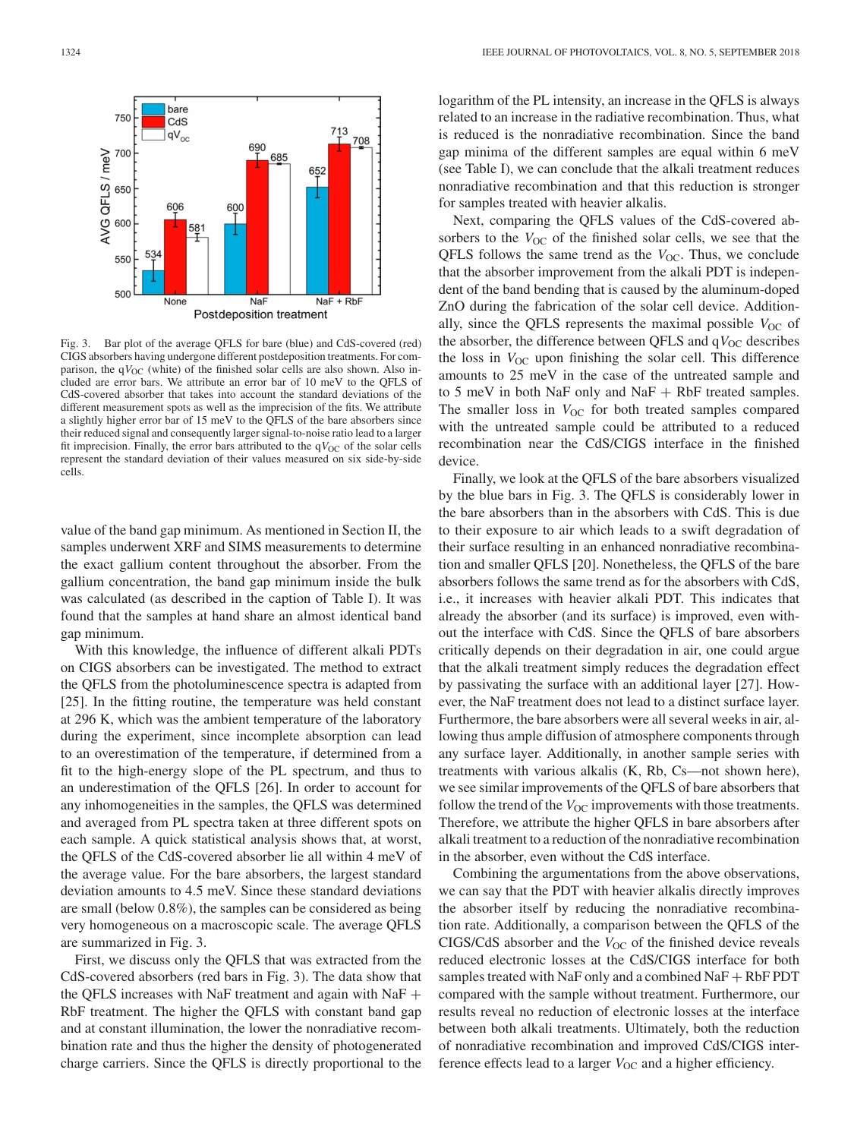

Fig. 3. Bar plot of the average QFLS for bare (blue) and CdS-covered (red) CIGS absorbers having undergone different postdeposition treatments. For comparison, the  $qV_{OC}$  (white) of the finished solar cells are also shown. Also included are error bars. We attribute an error bar of 10 meV to the QFLS of CdS-covered absorber that takes into account the standard deviations of the different measurement spots as well as the imprecision of the fits. We attribute a slightly higher error bar of 15 meV to the QFLS of the bare absorbers since their reduced signal and consequently larger signal-to-noise ratio lead to a larger fit imprecision. Finally, the error bars attributed to the  $qV_{OC}$  of the solar cells represent the standard deviation of their values measured on six side-by-side cells.

value of the band gap minimum. As mentioned in Section II, the samples underwent XRF and SIMS measurements to determine the exact gallium content throughout the absorber. From the gallium concentration, the band gap minimum inside the bulk was calculated (as described in the caption of Table I). It was found that the samples at hand share an almost identical band gap minimum.

With this knowledge, the influence of different alkali PDTs on CIGS absorbers can be investigated. The method to extract the QFLS from the photoluminescence spectra is adapted from [25]. In the fitting routine, the temperature was held constant at 296 K, which was the ambient temperature of the laboratory during the experiment, since incomplete absorption can lead to an overestimation of the temperature, if determined from a fit to the high-energy slope of the PL spectrum, and thus to an underestimation of the QFLS [26]. In order to account for any inhomogeneities in the samples, the QFLS was determined and averaged from PL spectra taken at three different spots on each sample. A quick statistical analysis shows that, at worst, the QFLS of the CdS-covered absorber lie all within 4 meV of the average value. For the bare absorbers, the largest standard deviation amounts to 4.5 meV. Since these standard deviations are small (below 0.8%), the samples can be considered as being very homogeneous on a macroscopic scale. The average QFLS are summarized in Fig. 3.

First, we discuss only the QFLS that was extracted from the CdS-covered absorbers (red bars in Fig. 3). The data show that the QFLS increases with NaF treatment and again with NaF + RbF treatment. The higher the QFLS with constant band gap and at constant illumination, the lower the nonradiative recombination rate and thus the higher the density of photogenerated charge carriers. Since the QFLS is directly proportional to the logarithm of the PL intensity, an increase in the QFLS is always related to an increase in the radiative recombination. Thus, what is reduced is the nonradiative recombination. Since the band gap minima of the different samples are equal within 6 meV (see Table I), we can conclude that the alkali treatment reduces nonradiative recombination and that this reduction is stronger for samples treated with heavier alkalis.

Next, comparing the QFLS values of the CdS-covered absorbers to the  $V_{OC}$  of the finished solar cells, we see that the QFLS follows the same trend as the  $V_{\text{OC}}$ . Thus, we conclude that the absorber improvement from the alkali PDT is independent of the band bending that is caused by the aluminum-doped ZnO during the fabrication of the solar cell device. Additionally, since the QFLS represents the maximal possible  $V_{\text{OC}}$  of the absorber, the difference between QFLS and  $qV_{OC}$  describes the loss in  $V_{OC}$  upon finishing the solar cell. This difference amounts to 25 meV in the case of the untreated sample and to 5 meV in both NaF only and NaF  $+$  RbF treated samples. The smaller loss in  $V_{OC}$  for both treated samples compared with the untreated sample could be attributed to a reduced recombination near the CdS/CIGS interface in the finished device.

Finally, we look at the QFLS of the bare absorbers visualized by the blue bars in Fig. 3. The QFLS is considerably lower in the bare absorbers than in the absorbers with CdS. This is due to their exposure to air which leads to a swift degradation of their surface resulting in an enhanced nonradiative recombination and smaller QFLS [20]. Nonetheless, the QFLS of the bare absorbers follows the same trend as for the absorbers with CdS, i.e., it increases with heavier alkali PDT. This indicates that already the absorber (and its surface) is improved, even without the interface with CdS. Since the QFLS of bare absorbers critically depends on their degradation in air, one could argue that the alkali treatment simply reduces the degradation effect by passivating the surface with an additional layer [27]. However, the NaF treatment does not lead to a distinct surface layer. Furthermore, the bare absorbers were all several weeks in air, allowing thus ample diffusion of atmosphere components through any surface layer. Additionally, in another sample series with treatments with various alkalis (K, Rb, Cs—not shown here), we see similar improvements of the QFLS of bare absorbers that follow the trend of the *V*<sub>OC</sub> improvements with those treatments. Therefore, we attribute the higher QFLS in bare absorbers after alkali treatment to a reduction of the nonradiative recombination in the absorber, even without the CdS interface.

Combining the argumentations from the above observations, we can say that the PDT with heavier alkalis directly improves the absorber itself by reducing the nonradiative recombination rate. Additionally, a comparison between the QFLS of the CIGS/CdS absorber and the  $V_{OC}$  of the finished device reveals reduced electronic losses at the CdS/CIGS interface for both samples treated with NaF only and a combined  $\text{NaF} + \text{RbF}$  PDT compared with the sample without treatment. Furthermore, our results reveal no reduction of electronic losses at the interface between both alkali treatments. Ultimately, both the reduction of nonradiative recombination and improved CdS/CIGS interference effects lead to a larger *V*<sub>OC</sub> and a higher efficiency.